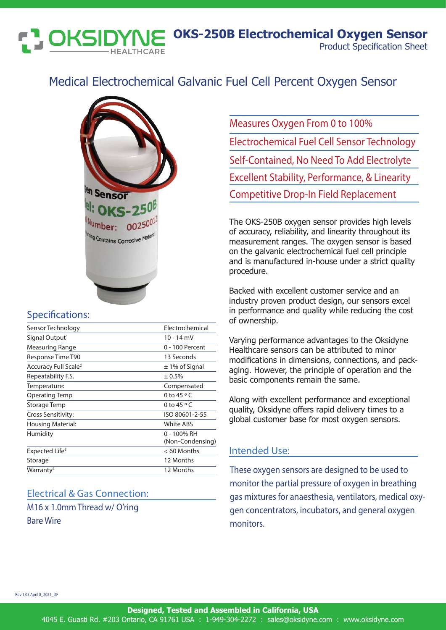Product Specification Sheet **OKS-250B Electrochemical Oxygen Sensor**

# Medical Electrochemical Galvanic Fuel Cell Percent Oxygen Sensor



#### Specifications:

IK5

| Sensor Technology                | Electrochemical                 |
|----------------------------------|---------------------------------|
| Signal Output <sup>1</sup>       | 10 - 14 mV                      |
| Measuring Range                  | 0 - 100 Percent                 |
| Response Time T90                | 13 Seconds                      |
| Accuracy Full Scale <sup>2</sup> | $\pm$ 1% of Signal              |
| Repeatability F.S.               | ± 0.5%                          |
| Temperature:                     | Compensated                     |
| Operating Temp                   | 0 to 45 $\circ$ C               |
| Storage Temp                     | 0 to 45 $\circ$ C               |
| Cross Sensitivity:               | ISO 80601-2-55                  |
| Housing Material:                | <b>White ABS</b>                |
| Humidity                         | 0 - 100% RH<br>(Non-Condensing) |
| Expected Life <sup>3</sup>       | $<$ 60 Months                   |
| Storage                          | 12 Months                       |
| Warranty <sup>4</sup>            | 12 Months                       |
|                                  |                                 |

### Electrical & Gas Connection:

M16 x 1.0mm Thread w/ O'ring Bare Wire

Measures Oxygen From 0 to 100% Electrochemical Fuel Cell Sensor Technology Self-Contained, No Need To Add Electrolyte Excellent Stability, Performance, & Linearity Competitive Drop-In Field Replacement

The OKS-250B oxygen sensor provides high levels of accuracy, reliability, and linearity throughout its measurement ranges. The oxygen sensor is based on the galvanic electrochemical fuel cell principle and is manufactured in-house under a strict quality procedure.

Backed with excellent customer service and an industry proven product design, our sensors excel in performance and quality while reducing the cost of ownership.

Varying performance advantages to the Oksidyne Healthcare sensors can be attributed to minor modifications in dimensions, connections, and packaging. However, the principle of operation and the basic components remain the same.

Along with excellent performance and exceptional quality, Oksidyne offers rapid delivery times to a global customer base for most oxygen sensors.

#### Intended Use:

These oxygen sensors are designed to be used to monitor the partial pressure of oxygen in breathing gas mixtures for anaesthesia, ventilators, medical oxygen concentrators, incubators, and general oxygen monitors.

Rev 1.05 April 8\_2021\_DF